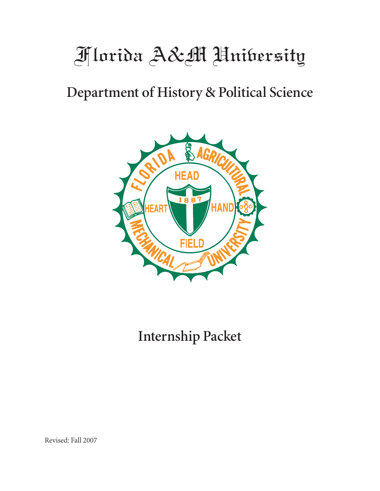# Florida A&M University

# Department of History & Political Science



# Internship Packet

Revised: Fall 2007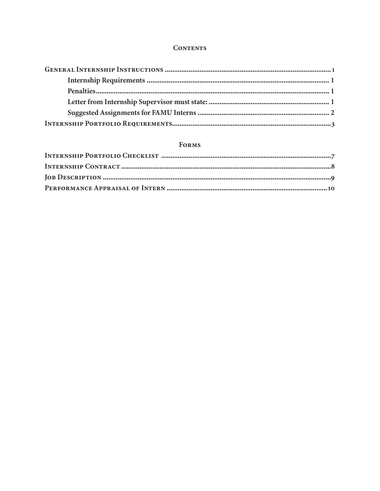#### **CONTENTS**

# **FORMS**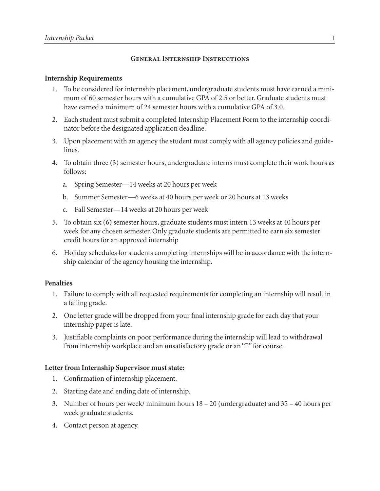# General Internship Instructions

# Internship Requirements

- 1. To be considered for internship placement, undergraduate students must have earned a minimum of 60 semester hours with a cumulative GPA of 2.5 or better. Graduate students must have earned a minimum of 24 semester hours with a cumulative GPA of 3.0.
- Each student must submit a completed Internship Placement Form to the internship coordi-2. nator before the designated application deadline.
- Upon placement with an agency the student must comply with all agency policies and guide-3. lines.
- To obtain three (3) semester hours, undergraduate interns must complete their work hours as 4. follows:
	- a. Spring Semester-14 weeks at 20 hours per week
	- b. Summer Semester—6 weeks at 40 hours per week or 20 hours at 13 weeks
	- c. Fall Semester-14 weeks at 20 hours per week
- 5. To obtain six (6) semester hours, graduate students must intern 13 weeks at 40 hours per week for any chosen semester. Only graduate students are permitted to earn six semester credit hours for an approved internship
- Holiday schedules for students completing internships will be in accordance with the intern-6. ship calendar of the agency housing the internship.

# Penalties

- 1. Failure to comply with all requested requirements for completing an internship will result in a failing grade.
- One letter grade will be dropped from your final internship grade for each day that your 2. internship paper is late.
- Justifiable complaints on poor performance during the internship will lead to withdrawal 3. from internship workplace and an unsatisfactory grade or an "F" for course.

# Letter from Internship Supervisor must state:

- 1. Confirmation of internship placement.
- 2. Starting date and ending date of internship.
- 3. Number of hours per week/ minimum hours 18 20 (undergraduate) and 35 40 hours per week graduate students.
- 4. Contact person at agency.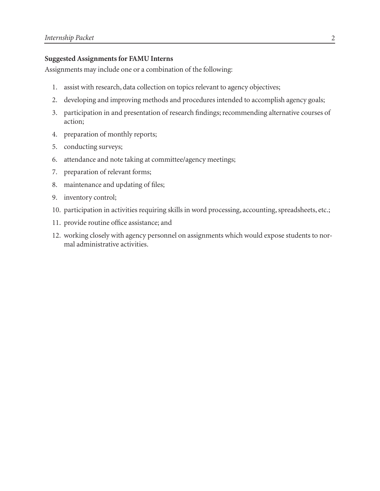# Suggested Assignments for FAMU Interns

Assignments may include one or a combination of the following:

- 1. assist with research, data collection on topics relevant to agency objectives;
- developing and improving methods and procedures intended to accomplish agency goals; 2.
- participation in and presentation of research findings; recommending alternative courses of action; 3.
- preparation of monthly reports; 4.
- conducting surveys; 5.
- attendance and note taking at committee/agency meetings; 6.
- preparation of relevant forms; 7.
- maintenance and updating of files; 8.
- inventory control; 9.
- 10. participation in activities requiring skills in word processing, accounting, spreadsheets, etc.;
- 11. provide routine office assistance; and
- 12. working closely with agency personnel on assignments which would expose students to normal administrative activities.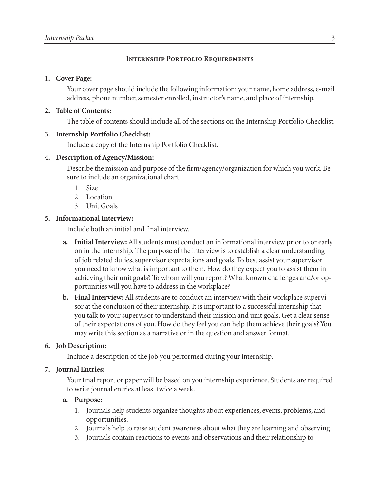# INTERNSHIP PORTFOLIO REQUIREMENTS

#### 1. Cover Page:

Your cover page should include the following information: your name, home address, e-mail address, phone number, semester enrolled, instructor's name, and place of internship.

# Table of Contents: 2.

The table of contents should include all of the sections on the Internship Portfolio Checklist.

# 3. Internship Portfolio Checklist:

Include a copy of the Internship Portfolio Checklist.

#### Description of Agency/Mission: 4.

Describe the mission and purpose of the firm/agency/organization for which you work. Be sure to include an organizational chart:

- 1. Size
- 2. Location
- Unit Goals 3.

# 5. Informational Interview:

Include both an initial and final interview.

- a. Initial Interview: All students must conduct an informational interview prior to or early on in the internship. The purpose of the interview is to establish a clear understanding of job related duties, supervisor expectations and goals. To best assist your supervisor you need to know what is important to them. How do they expect you to assist them in achieving their unit goals? To whom will you report? What known challenges and/or opportunities will you have to address in the workplace?
- b. Final Interview: All students are to conduct an interview with their workplace supervisor at the conclusion of their internship. It is important to a successful internship that you talk to your supervisor to understand their mission and unit goals. Get a clear sense of their expectations of you. How do they feel you can help them achieve their goals? You may write this section as a narrative or in the question and answer format.

# Job Description: 6.

Include a description of the job you performed during your internship.

#### 7. Journal Entries:

Your final report or paper will be based on you internship experience. Students are required to write journal entries at least twice a week.

#### Purpose: a.

- 1. Journals help students organize thoughts about experiences, events, problems, and opportunities.
- 2. Journals help to raise student awareness about what they are learning and observing
- Journals contain reactions to events and observations and their relationship to 3.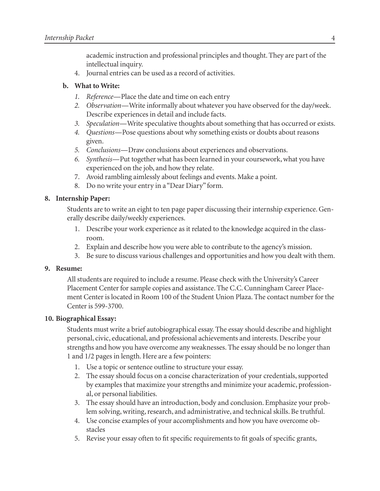academic instruction and professional principles and thought. They are part of the intellectual inquiry.

Journal entries can be used as a record of activities. 4.

# b. What to Write:

- *Reference*—Place the date and time on each entry *1.*
- *Observation*—Write informally about whatever you have observed for the day/week. *2.* Describe experiences in detail and include facts.
- *Speculation*—Write speculative thoughts about something that has occurred or exists. *3.*
- *Questions*—Pose questions about why something exists or doubts about reasons *4.* given.
- *Conclusions*—Draw conclusions about experiences and observations. *5.*
- *Synthesis*—Put together what has been learned in your coursework, what you have *6.* experienced on the job, and how they relate.
- Avoid rambling aimlessly about feelings and events. Make a point. 7.
- Do no write your entry in a "Dear Diary" form. 8.

# 8. Internship Paper:

Students are to write an eight to ten page paper discussing their internship experience. Generally describe daily/weekly experiences.

- Describe your work experience as it related to the knowledge acquired in the class-. room.
- Explain and describe how you were able to contribute to the agency's mission. 2.
- Be sure to discuss various challenges and opportunities and how you dealt with them. 3.

# 9. Resume:

All students are required to include a resume. Please check with the University's Career Placement Center for sample copies and assistance. The C.C. Cunningham Career Placement Center is located in Room 00 of the Student Union Plaza. The contact number for the Center is 599-3700.

# 10. Biographical Essay:

Students must write a brief autobiographical essay. The essay should describe and highlight personal, civic, educational, and professional achievements and interests. Describe your strengths and how you have overcome any weaknesses. The essay should be no longer than 1 and  $1/2$  pages in length. Here are a few pointers:

- 1. Use a topic or sentence outline to structure your essay.
- The essay should focus on a concise characterization of your credentials, supported 2. by examples that maximize your strengths and minimize your academic, professional, or personal liabilities.
- The essay should have an introduction, body and conclusion. Emphasize your prob-3. lem solving, writing, research, and administrative, and technical skills. Be truthful.
- Use concise examples of your accomplishments and how you have overcome ob-4. stacles
- 5. Revise your essay often to fit specific requirements to fit goals of specific grants,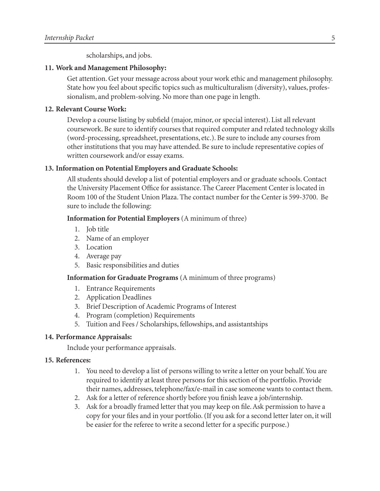scholarships, and jobs.

#### 11. Work and Management Philosophy:

Get attention. Get your message across about your work ethic and management philosophy. State how you feel about specific topics such as multiculturalism (diversity), values, professionalism, and problem-solving. No more than one page in length.

#### 12. Relevant Course Work:

Develop a course listing by subfield (major, minor, or special interest). List all relevant coursework. Be sure to identify courses that required computer and related technology skills (word-processing, spreadsheet, presentations, etc.). Be sure to include any courses from other institutions that you may have attended. Be sure to include representative copies of written coursework and/or essay exams.

#### 13. Information on Potential Employers and Graduate Schools:

All students should develop a list of potential employers and or graduate schools. Contact the University Placement Office for assistance. The Career Placement Center is located in Room 100 of the Student Union Plaza. The contact number for the Center is 599-3700. Be sure to include the following:

#### Information for Potential Employers (A minimum of three)

- 1. Job title
- Name of an employer 2.
- Location 3.
- Average pay 4.
- 5. Basic responsibilities and duties

#### Information for Graduate Programs (A minimum of three programs)

- 1. Entrance Requirements
- 2. Application Deadlines
- 3. Brief Description of Academic Programs of Interest
- 4. Program (completion) Requirements
- Tuition and Fees / Scholarships, fellowships, and assistantships 5.

#### 14. Performance Appraisals:

Include your performance appraisals.

#### 15. References:

- 1. You need to develop a list of persons willing to write a letter on your behalf. You are required to identify at least three persons for this section of the portfolio. Provide their names, addresses, telephone/fax/e-mail in case someone wants to contact them.
- Ask for a letter of reference shortly before you finish leave a job/internship. 2.
- Ask for a broadly framed letter that you may keep on file. Ask permission to have a 3.copy for your files and in your portfolio. (If you ask for a second letter later on, it will be easier for the referee to write a second letter for a specific purpose.)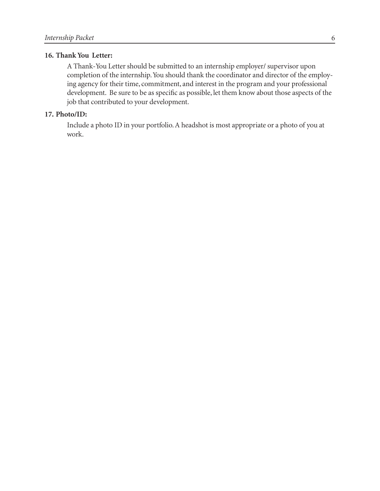#### 16. Thank You Letter:

A Thank-You Letter should be submitted to an internship employer/ supervisor upon completion of the internship. You should thank the coordinator and director of the employing agency for their time, commitment, and interest in the program and your professional development. Be sure to be as specific as possible, let them know about those aspects of the job that contributed to your development.

#### 17. Photo/ID:

Include a photo ID in your portfolio. A headshot is most appropriate or a photo of you at work.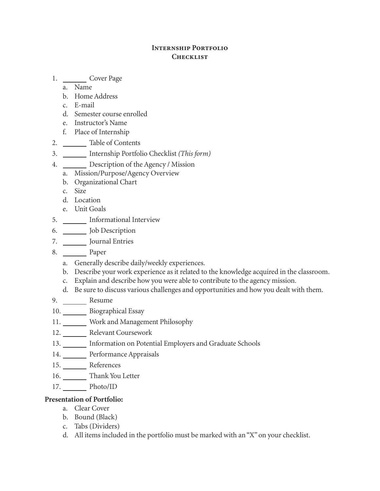# Internship Portfolio **CHECKLIST**

1. \_\_\_\_\_\_\_\_\_\_\_\_\_ Cover Page

- Name a.
- b. Home Address
- E-mail c.
- Semester course enrolled d.
- e. Instructor's Name
- Place of Internship f.
- Table of Contents 2.
- Internship Portfolio Checklist *(This form)* 3.
- Description of the Agency / Mission 4.
	- Mission/Purpose/Agency Overview a.
	- b. Organizational Chart
	- Size c.
	- Location d.
	- Unit Goals e.
- 5. \_\_\_\_\_\_\_\_ Informational Interview
- Job Description 6.
- 7. \_\_\_\_\_\_\_\_ Journal Entries
- Paper 8.
	- a. Generally describe daily/weekly experiences.
	- b. Describe your work experience as it related to the knowledge acquired in the classroom.
	- Explain and describe how you were able to contribute to the agency mission. c.
	- d. Be sure to discuss various challenges and opportunities and how you dealt with them.
- 9. Resume
- 10. Biographical Essay
- 11. Work and Management Philosophy
- 12. \_\_\_\_\_\_\_ Relevant Coursework
- 13. Information on Potential Employers and Graduate Schools
- 14. Performance Appraisals
- 15. References
- 16. Thank You Letter
- 17. Photo/ID

# Presentation of Portfolio:

- Clear Cover a.
- b. Bound (Black)
- Tabs (Dividers) c.
- All items included in the portfolio must be marked with an "X" on your checklist. d.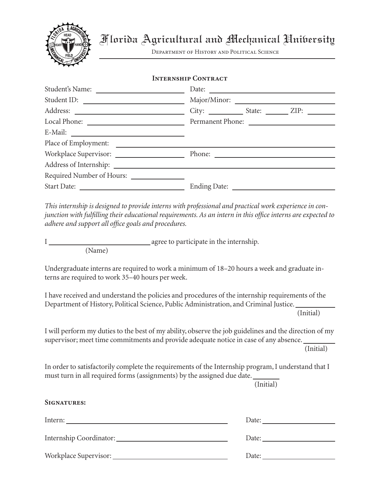

Department of History and Political Science

# Internship Contract

| Student's Name:           | Date:                          |
|---------------------------|--------------------------------|
|                           |                                |
|                           | $City:$ State: $\_\_\_\_$ ZIP: |
|                           |                                |
|                           |                                |
|                           |                                |
|                           | Phone:                         |
|                           |                                |
| Required Number of Hours: |                                |
|                           | Ending Date: _________         |

*This internship is designed to provide interns with professional and practical work experience in conjunction with fulfilling their educational requirements. As an intern in this office interns are expected to adhere and support all office goals and procedures.*

I agree to participate in the internship.

(Name)

Undergraduate interns are required to work a minimum of 18–20 hours a week and graduate interns are required to work 35–40 hours per week.

I have received and understand the policies and procedures of the internship requirements of the Department of History, Political Science, Public Administration, and Criminal Justice.

(Initial)

I will perform my duties to the best of my ability, observe the job guidelines and the direction of my supervisor; meet time commitments and provide adequate notice in case of any absence.

(Initial)

In order to satisfactorily complete the requirements of the Internship program, I understand that I must turn in all required forms (assignments) by the assigned due date.

(Initial)

# SIGNATURES:

| Intern:                               | Date: the contract of the contract of the contract of the contract of the contract of the contract of the contract of the contract of the contract of the contract of the contract of the contract of the contract of the cont |
|---------------------------------------|--------------------------------------------------------------------------------------------------------------------------------------------------------------------------------------------------------------------------------|
| Internship Coordinator: New York 1988 |                                                                                                                                                                                                                                |
|                                       | Date:                                                                                                                                                                                                                          |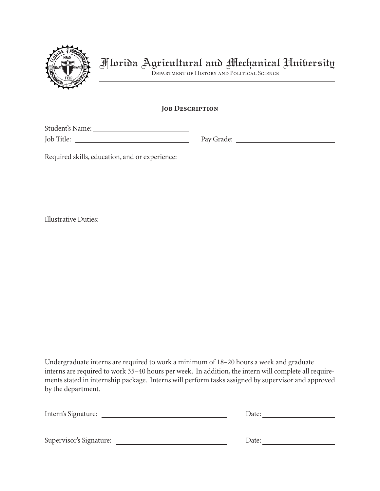

Department of History and Political Science

# JOB DESCRIPTION

Student's Name:

Job Title: Pay Grade:

Required skills, education, and or experience:

Illustrative Duties:

Undergraduate interns are required to work a minimum of 18-20 hours a week and graduate interns are required to work 35–40 hours per week. In addition, the intern will complete all requirements stated in internship package. Interns will perform tasks assigned by supervisor and approved by the department.

| Intern's Signature:     | Date: |
|-------------------------|-------|
|                         |       |
|                         |       |
| Supervisor's Signature: | Date: |